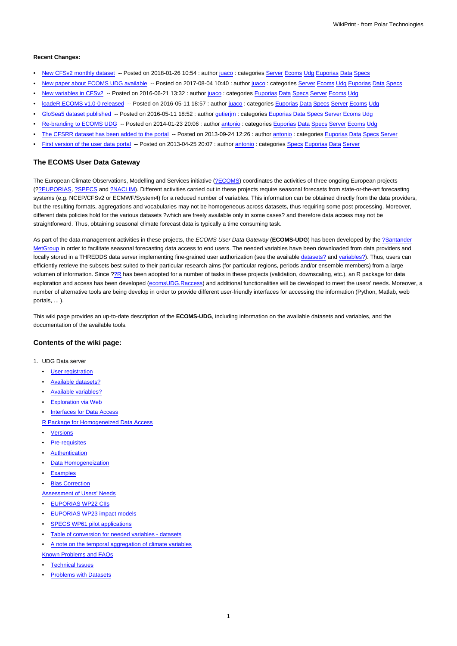#### **Recent Changes:**

- New CFSv2 monthly dataset -- Posted on 2018-01-26 10:54 : author juaco : categories Server Ecoms Udg Euporias Data Specs
- New paper about ECOMS UDG available -- Posted on 2017-08-04 10:40 : author juaco : categories Server Ecoms Udg Euporias Data Specs
- New variables in CFSv2 -- Posted on 2016-06-21 13:32 : author juaco : categories Euporias Data Specs Server Ecoms Udg
- loadeR.ECOMS v1.0-0 released -- Posted on 2016-05-11 18:57 : author juaco : categories Euporias Data Specs Server Ecoms Udg
	- GloSea5 dataset published -- Posted on 2016-05-11 18:52 : author gutierjm : categories Euporias Data Specs Server Ecoms Udg
	- Re-branding to ECOMS UDG -- Posted on 2014-01-23 20:06 : author antonio : categories Euporias Data Specs Server Ecoms Udg
- The CFSRR dataset has been added to the portal -- Posted on 2013-09-24 12:26 : author antonio : categories Euporias Data Specs Server
- First version of the user data portal -- Posted on 2013-04-25 20:07 : author antonio : categories Specs Euporias Data Server

### **The ECOMS User Data Gateway**

The European Climate Observations, Modelling and Services initiative [\(?ECOMS\)](http://www.eu-ecoms.eu) coordinates the activities of three ongoing European projects ([??EUPORIAS](http://www.euporias.eu), [?SPECS](http://www.specs-fp7.eu) and [?NACLIM](http://naclim.zmaw.de)). Different activities carried out in these projects require seasonal forecasts from state-or-the-art forecasting systems (e.g. NCEP/CFSv2 or ECMWF/System4) for a reduced number of variables. This information can be obtained directly from the data providers, but the resulting formats, aggregations and vocabularies may not be homogeneous across datasets, thus requiring some post processing. Moreover, different data policies hold for the various datasets ?which are freely available only in some cases? and therefore data access may not be straightforward. Thus, obtaining seasonal climate forecast data is typically a time consuming task.

As part of the data management activities in these projects, the ECOMS User Data Gateway (**ECOMS-UDG**) has been developed by the [?Santander](http://www.meteo.unican.es) [MetGroup](http://www.meteo.unican.es) in order to facilitate seasonal forecasting data access to end users. The needed variables have been downloaded from data providers and locally stored in a THREDDS data server implementing fine-grained user authorization (see the available datasets? and variables?). Thus, users can efficiently retrieve the subsets best suited to their particular research aims (for particular regions, periods and/or ensemble members) from a large volumen of information. Since ?[?R](http://www.r-project.org) has been adopted for a number of tasks in these projects (validation, downscaling, etc.), an R package for data exploration and access has been developed [\(ecomsUDG.Raccess](https://meteo.unican.es/trac/wiki/udg/ecoms/RPackage)) and additional functionalities will be developed to meet the users' needs. Moreover, a number of alternative tools are being develop in order to provide different user-friendly interfaces for accessing the information (Python, Matlab, web portals, ... ).

This wiki page provides an up-to-date description of the **ECOMS-UDG**, including information on the available datasets and variables, and the documentation of the available tools.

## **Contents of the wiki page:**

- 1. UDG Data server
	- [User registration](https://meteo.unican.es/trac/wiki/udg/registration)
	- Available datasets?
	- Available variables?
	- **[Exploration via Web](https://meteo.unican.es/trac/wiki/udg/ecoms/dataserver/web)**
	- [Interfaces for Data Access](https://meteo.unican.es/trac/wiki/udg/ecoms/dataserver/interfaces)

[R Package for Homogeneized Data Access](https://meteo.unican.es/trac/wiki/udg/ecoms/RPackage)

- **[Versions](https://meteo.unican.es/trac/wiki/udg/ecoms/RPackage/versions)**
- **[Pre-requisites](https://meteo.unican.es/trac/wiki/udg/ecoms/RPackage/prerequisites)**
- **[Authentication](https://meteo.unican.es/trac/wiki/udg/ecoms/RPackage/authentication)**
- [Data Homogeneization](https://meteo.unican.es/trac/wiki/udg/ecoms/RPackage/homogeneization)
- **[Examples](https://meteo.unican.es/trac/wiki/udg/ecoms/RPackage/examples)**
- **[Bias Correction](https://meteo.unican.es/trac/wiki/udg/ecoms/RPackage/biascorrection)**
- [Assessment of Users' Needs](https://meteo.unican.es/trac/wiki/udg/ecoms/EndUserNeeds)
- [EUPORIAS WP22 CIIs](https://meteo.unican.es/trac/wiki/udg/ecoms/EndUserNeeds/CII)
- **[EUPORIAS WP23 impact models](https://meteo.unican.es/trac/wiki/udg/ecoms/EndUserNeeds/ImpactModels)**
- [SPECS WP61 pilot applications](https://meteo.unican.es/trac/wiki/udg/ecoms/EndUserNeeds/PilotApplications)
- [Table of conversion for needed variables datasets](https://meteo.unican.es/trac/wiki/udg/ecoms/EndUserNeeds/ListOfVariables)
- [A note on the temporal aggregation of climate variables](https://meteo.unican.es/trac/wiki/udg/ecoms/EndUserNeeds/NoteTimeAggregation)

[Known Problems and FAQs](https://meteo.unican.es/trac/wiki/udg/ecoms/FAQs)

- **[Technical Issues](https://meteo.unican.es/trac/wiki/udg/ecoms/FAQs/Technical)**
- **[Problems with Datasets](https://meteo.unican.es/trac/wiki/udg/ecoms/FAQs/DataSets)**